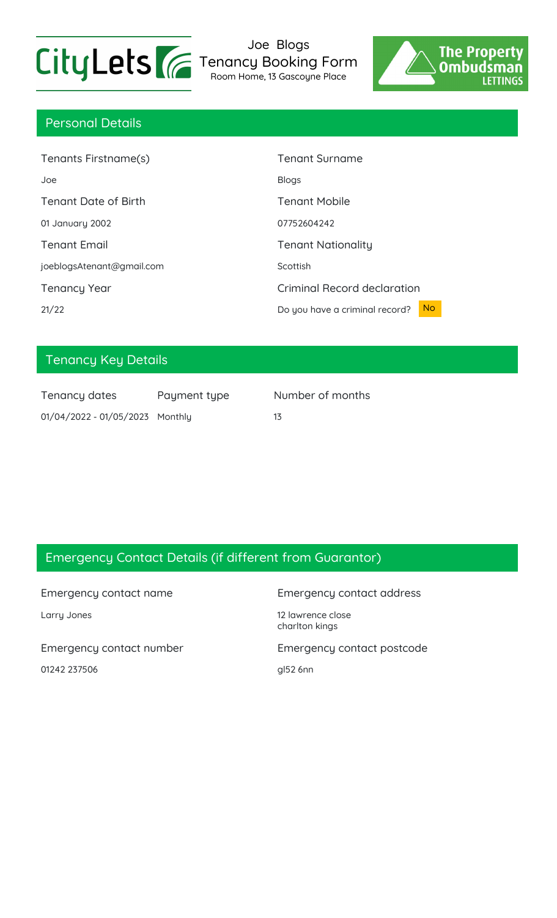

Joe Blogs Tenancy Booking Form Room Home, 13 Gascoyne Place



## Personal Details

| Tenants Firstname(s)        | <b>Tenant Surname</b>                       |
|-----------------------------|---------------------------------------------|
| Joe                         | <b>Blogs</b>                                |
| <b>Tenant Date of Birth</b> | <b>Tenant Mobile</b>                        |
| 01 January 2002             | 07752604242                                 |
| <b>Tenant Email</b>         | <b>Tenant Nationality</b>                   |
| joeblogsAtenant@gmail.com   | Scottish                                    |
| <b>Tenancy Year</b>         | Criminal Record declaration                 |
| 21/22                       | <b>No</b><br>Do you have a criminal record? |

# Tenancy Key Details

| Tenancy dates                   | Payment type | Ν  |
|---------------------------------|--------------|----|
| 01/04/2022 - 01/05/2023 Monthly |              | 13 |

Number of months

## Emergency Contact Details (if different from Guarantor)

01242 237506 gl52 6nn

### Emergency contact name Emergency contact address

Larry Jones 2008 2012 12 lawrence close charlton kings

Emergency contact number Emergency contact postcode